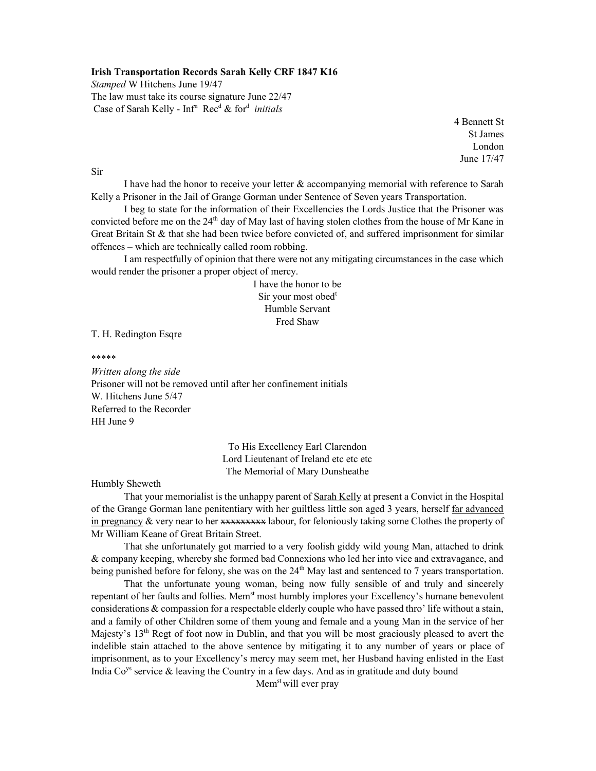## Irish Transportation Records Sarah Kelly CRF 1847 K16

Stamped W Hitchens June 19/47 The law must take its course signature June 22/47 Case of Sarah Kelly -  $Inf<sup>n</sup>$  Rec<sup>d</sup> & for<sup>d</sup> initials

> 4 Bennett St St James London June 17/47

Sir

 I have had the honor to receive your letter & accompanying memorial with reference to Sarah Kelly a Prisoner in the Jail of Grange Gorman under Sentence of Seven years Transportation.

I beg to state for the information of their Excellencies the Lords Justice that the Prisoner was convicted before me on the  $24<sup>th</sup>$  day of May last of having stolen clothes from the house of Mr Kane in Great Britain St & that she had been twice before convicted of, and suffered imprisonment for similar offences – which are technically called room robbing.

 I am respectfully of opinion that there were not any mitigating circumstances in the case which would render the prisoner a proper object of mercy.

> I have the honor to be Sir your most obed<sup>t</sup> Humble Servant Fred Shaw

T. H. Redington Esqre

\*\*\*\*\*

Written along the side Prisoner will not be removed until after her confinement initials W. Hitchens June 5/47 Referred to the Recorder HH June 9

> To His Excellency Earl Clarendon Lord Lieutenant of Ireland etc etc etc The Memorial of Mary Dunsheathe

Humbly Sheweth

 That your memorialist is the unhappy parent of Sarah Kelly at present a Convict in the Hospital of the Grange Gorman lane penitentiary with her guiltless little son aged 3 years, herself far advanced in pregnancy  $\&$  very near to her  $x=x,x,x,x,x$  labour, for feloniously taking some Clothes the property of Mr William Keane of Great Britain Street.

 That she unfortunately got married to a very foolish giddy wild young Man, attached to drink & company keeping, whereby she formed bad Connexions who led her into vice and extravagance, and being punished before for felony, she was on the  $24<sup>th</sup>$  May last and sentenced to 7 years transportation.

 That the unfortunate young woman, being now fully sensible of and truly and sincerely repentant of her faults and follies. Mem<sup>st</sup> most humbly implores your Excellency's humane benevolent considerations & compassion for a respectable elderly couple who have passed thro' life without a stain, and a family of other Children some of them young and female and a young Man in the service of her Majesty's  $13<sup>th</sup>$  Regt of foot now in Dublin, and that you will be most graciously pleased to avert the indelible stain attached to the above sentence by mitigating it to any number of years or place of imprisonment, as to your Excellency's mercy may seem met, her Husband having enlisted in the East India  $Co<sup>ys</sup>$  service  $\&$  leaving the Country in a few days. And as in gratitude and duty bound

Mem<sup>st</sup> will ever pray